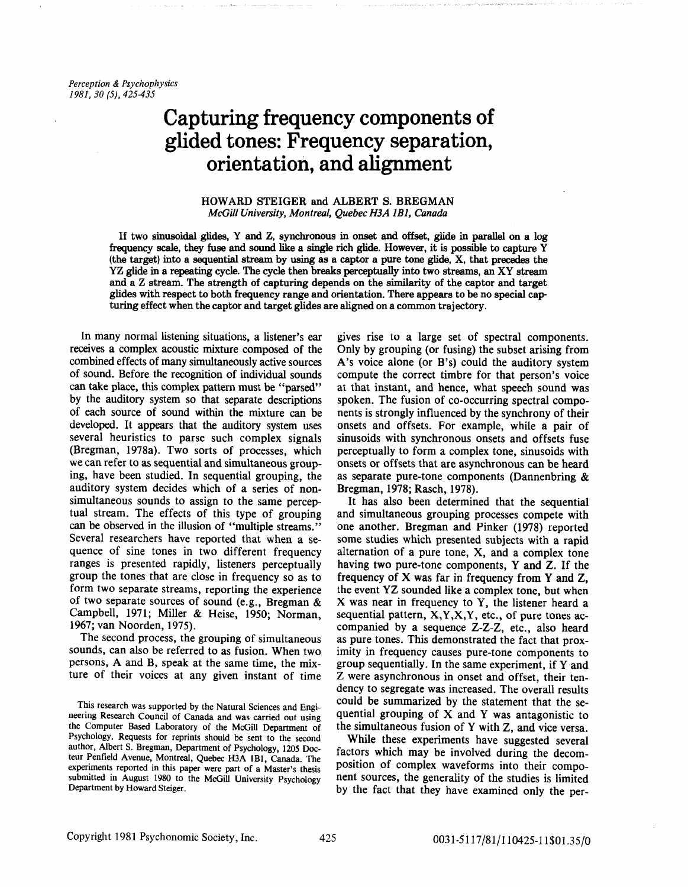*Perception & Psychophysics 1981, 30 (5), 425-435*

# **Capturing frequency components of glided tones: Frequency separation, orientation, and alignment**

## **HOWARD STEIGER and ALBERT S. BREGMAN** *McGill University, Montreal, Quebec H3A 1B1, Canada*

If two sinusoidal glides, Y and Z, synchronous in onset and offset, glide in parallel on a log frequency scale, they fuse and sound like a single rich glide. However, it is possible to capture Y (the target) into a sequential stream by using as a captor a pure tone glide, X, that precedes the YZ glide in a repeating cycle. The cycle then breaks perceptually into two streams, an XY stream and a Z stream. The strength of capturing depends on the similarity of the captor and target glides with respect to both frequency range and orientation. There appears to be no special capturing effect when the captor and target glides are aligned on a common trajectory.

In many normal listening situations, a listener's ear receives a complex acoustic mixture composed of the combined effects of many simultaneously active sources of sound. Before the recognition of individual sounds can take place, this complex pattern must be "parsed" by the auditory system so that separate descriptions of each source of sound within the mixture can be developed. It appears that the auditory system uses several heuristics to parse such complex signals (Bregman, 1978a). Two sorts of processes, which we can refer to as sequential and simultaneous grouping, have been studied. In sequential grouping, the auditory system decides which of a series of nonsimultaneous sounds to assign to the same perceptual stream. The effects of this type of grouping can be observed in the illusion of "multiple streams." Several researchers have reported that when a sequence of sine tones in two different frequency ranges is presented rapidly, listeners perceptually group the tones that are close in frequency so as to form two separate streams, reporting the experience of two separate sources of sound (e.g., Bregman & Campbell, 1971; Miller & Heise, 1950; Norman, 1967; van Noorden, 1975).

The second process, the grouping of simultaneous sounds, can also be referred to as fusion. When two persons, A and B, speak at the same time, the mixture of their voices at any given instant of time gives rise to a large set of spectral components. Only by grouping (or fusing) the subset arising from A's voice alone (or B's) could the auditory system compute the correct timbre for that person's voice at that instant, and hence, what speech sound was spoken. The fusion of co-occurring spectral components is strongly influenced by the synchrony of their onsets and offsets. For example, while a pair of sinusoids with synchronous onsets and offsets fuse perceptually to form a complex tone, sinusoids with onsets or offsets that are asynchronous can be heard as separate pure-tone components (Dannenbring & Bregman, 1978; Rasch, 1978).

It has also been determined that the sequential and simultaneous grouping processes compete with one another. Bregman and Pinker (1978) reported some studies which presented subjects with a rapid alternation of a pure tone, X, and a complex tone having two pure-tone components, Y and Z. If the frequency of X was far in frequency from Y and Z, the event YZ sounded like a complex tone, but when X was near in frequency to Y, the listener heard a sequential pattern, X,Y,X,Y, etc., of pure tones accompanied by a sequence Z-Z-Z, etc., also heard as pure tones. This demonstrated the fact that proximity in frequency causes pure-tone components to group sequentially. In the same experiment, if Y and Z were asynchronous in onset and offset, their tendency to segregate was increased. The overall results could be summarized by the statement that the sequential grouping of X and Y was antagonistic to the simultaneous fusion of Y with Z, and vice versa.

While these experiments have suggested several factors which may be involved during the decomposition of complex waveforms into their component sources, the generality of the studies is limited by the fact that they have examined only the per-

This research was supported by the Natural Sciences and Engineering Research Council of Canada and was carried out using the Computer Based Laboratory of the McGill Department of Psychology. Requests for reprints should be sent to the second author, Albert S. Bregman, Department of Psychology, 1205 Docteur Penfield Avenue, Montreal, Quebec H3A IB1, Canada. The experiments reported in this paper were part of a Master's thesis submitted in August 1980 to the McGill University Psychology Department by Howard Steiger.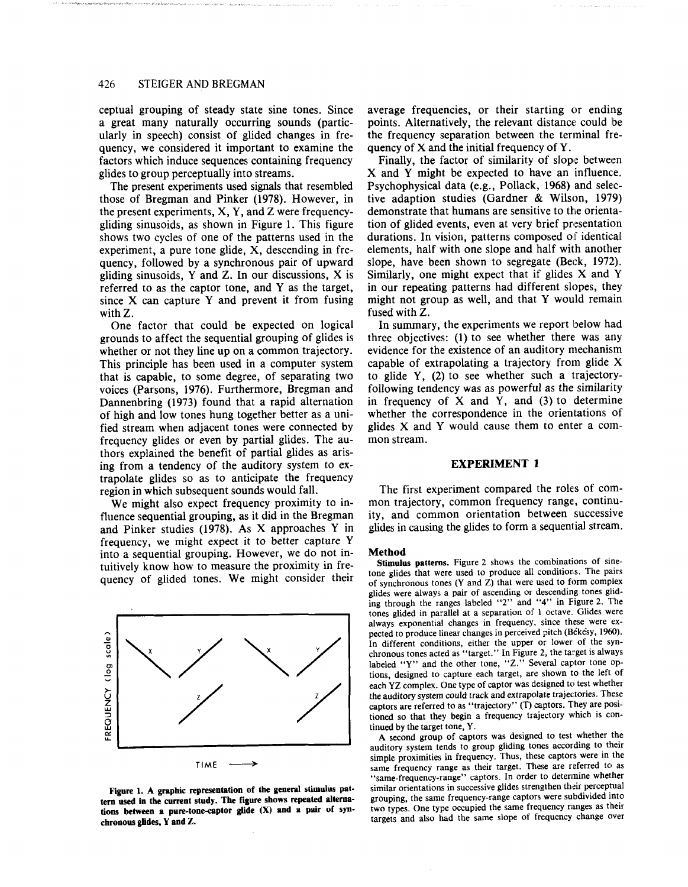# 426 STEIGER AND BREGMAN

ceptual grouping of steady state sine tones. Since a great many naturally occurring sounds (particularly in speech) consist of glided changes in frequency, we considered it important to examine the factors which induce sequences containing frequency glides to group perceptually into streams.

The present experiments used signals that resembled those of Bregman and Pinker (1978). However, in the present experiments, X, Y, and Z were frequencygliding sinusoids, as shown in Figure 1. This figure shows two cycles of one of the patterns used in the experiment, a pure tone glide, X, descending in frequency, followed by a synchronous pair of upward gliding sinusoids, Y and Z. In our discussions, X is referred to as the captor tone, and Y as the target, since X can capture Y and prevent it from fusing with Z.

One factor that could be expected on logical grounds to affect the sequential grouping of glides is whether or not they line up on a common trajectory. This principle has been used in a computer system that is capable, to some degree, of separating two voices (Parsons, 1976). Furthermore, Bregman and Dannenbring (1973) found that a rapid alternation of high and low tones hung together better as a unified stream when adjacent tones were connected by frequency glides or even by partial glides. The authors explained the benefit of partial glides as arising from a tendency of the auditory system to extrapolate glides so as to anticipate the frequency region in which subsequent sounds would fall.

We might also expect frequency proximity to influence sequential grouping, as it did in the Bregman and Pinker studies (1978). As X approaches Y in frequency, we might expect it to better capture Y into a sequential grouping. However, we do not intuitively know how to measure the proximity in frequency of glided tones. We might consider their



**Figure** 1. A graphic **representation of the general stimulus pattern used in the current study. The figure shows repeated alternations between a pure.tone-cuptor** glide (X) and a pair **of synchronous** glides, Y and Z.

average frequencies, or their starting or ending points. Alternatively, the relevant distance could be the frequency separation between the terminal frequency of X and the initial frequency of Y.

Finally, the factor of similarity of slope between X and Y might be expected to have an influence. Psychophysical data (e.g., Pollack, 1968) and selective adaption studies (Gardner & Wilson, 1979) demonstrate that humans are sensitive to the orientation of glided events, even at very brief presentation durations. In vision, patterns composed of identical elements, half with one slope and half with another slope, have been shown to segregate (Beck, 1972). Similarly, one might expect that if glides X and Y in our repeating patterns had different slopes, they might not group as well, and that Y would remain fused with Z.

In summary, the experiments we report below had three objectives:  $(1)$  to see whether there was any evidence for the existence of an auditory mechanism capable of extrapolating a trajectory from glide X to glide Y,  $(2)$  to see whether such a trajectoryfollowing tendency was as powerful as the similarity in frequency of  $X$  and  $Y$ , and  $(3)$  to determine whether the correspondence in the orientations of glides X and Y would cause them to enter a common stream.

#### EXPERIMENT 1

The first experiment compared the roles of common trajectory, common frequency range, continuity, and common orientation between successive glides in causing the glides to form a sequential stream.

#### **Method**

**Stimulus patterns.** Figure 2 shows the combinations of sinetone glides that were used to produce all conditions. The pairs of synchronous tones (Y and Z) that were used to form complex glides were always a pair of ascending or descending tones giiding through the ranges labeled "2" and "4" in Figure 2. The tones glided in parallel at a separation of 1 octave. Glides were always exponential changes in frequency, since these were expected to produce linear changes in perceived pitch (Békésy, 1960). In different conditions, either the upper or lower of the synchronous tones acted as "target." In Figure 2, the target is always labeled "Y" and the other tone, "Z." Several captor tone options, designed to capture each target, are shown to the left of each YZ complex. One type of captor was designed to test whether the auditory system could track and extrapolate trajectories. These captors are referred to as "trajectory" (T) captors. They are positioned so that they begin a frequency trajectory which is continued by the target tone, Y.

A second group of captors was designed to test whether the auditory system tends to group gliding tones according to their simple proximities in frequency. Thus, these captors were in the same frequency range as their target. These are referred to as "same-frequency-range" captors. In order to determine whether similar orientations in successive glides strengthen their perceptual grouping, the same frequency-range captors were subdivided into two types. One type occupied the same frequency ranges as their targets and also had the same slope of frequency change over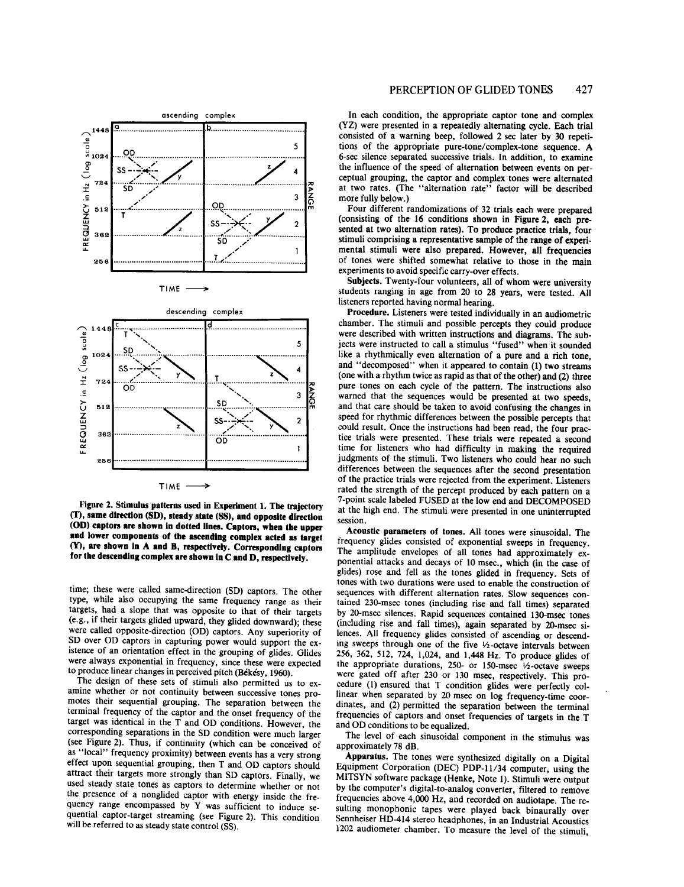

**Figure 2. Stimulus patterns used in Experiment 1. The trajectory (T), same direction (SD), steady state (SS), and opposite direction (OD) captors are shown in dotted Hnes. Captors, when the upper and lower components of the ascending complex acted as target (Y), are shown in A and B, respectively. Corresponding captors for the descending complex are shown in C and D, respectively.**

time; these were called same-direction (SD) captors. The other type, while also occupying the same frequency range as their targets, had a slope that was opposite to that of their targets (e.g., if their targets glided upward, they glided downward); these were called opposite-direction (OD) captors. Any superiority of SD over OD captors in capturing power would support the existence of an orientation effect in the grouping of glides. Glides were always exponential in frequency, since these were expected to produce linear changes in perceived pitch (Békésy, 1960).

The design of these sets of stimuli also permitted us to examine whether or not continuity between successive tones promotes their sequential grouping. The separation between the terminal frequency of the captor and the onset frequency of the target was identical in the T and OD conditions. However, the corresponding separations in the SD condition were much larger (see Figure 2). Thus, if continuity (which can be conceived of as "local" frequency proximity) between events has a very strong effect upon sequential grouping, then T and OD captors should attract their targets more strongly than SD captors. Finally, we used steady state tones as captors to determine whether or not the presence of a nonglided captor with energy inside the frequency range encompassed by Y was sufficient to induce sequential captor-target streaming (see Figure 2). This condition will be referred to as steady state control (SS).

In each condition, the appropriate captor tone and complex (YZ) were presented in a repeatedly alternating cycle. Each trial consisted of a warning beep, followed 2 sec later by 30 repetitions of the appropriate pure-tone/complex-tone sequence. A 6-see silence separated successive trials. In addition, to examine the influence of the speed of alternation between events on perceptual grouping, the captor and complex tones were alternated at two rates. (The "alternation rate" factor will be described more fully below.)

Four different randomizations of 32 trials each were prepared (consisting of the 16 conditions shown in Figure 2, each presented at two **alternation rates).** To produce practice trials, four stimuli comprising a **representative sample of** the range of experimental stimuli were also **prepared. However, all frequencies** of tones were shifted somewhat relative to those in the main experiments to avoid specific carry-over effects.

Subjects. Twenty-four volunteers, all of whom were university students ranging in age from 20 to 28 years, were tested. All listeners reported having normal hearing.

**Procedure.** Listeners were tested individually in an audiometric chamber. The stimuli and possible percepts they could produce were described with written instructions and diagrams. The subjects were instructed to call a stimulus "fused" when it sounded like a rhythmically even alternation of a pure and a rich tone, and "decomposed" when it appeared to contain (1) two streams (one with a rhythm twice as rapid as that of the other) and (2) three pure tones on each cycle of the pattern. The instructions also warned that the sequences would be presented at two speeds. and that care should be taken to avoid confusing the changes in speed for rhythmic differences between the possible percepts that could result. Once the instructions had been read, the four practice trials were presented. These trials were repeated a second time for listeners who had difficulty in making the required judgments of the stimuli. Two listeners who could hear no such differences between the sequences after the second presentation of the practice trials were rejected from the experiment. Listeners rated the strength of the percept produced by each pattern on a 7-point scale labeled FUSED at the low end and DECOMPOSED at the high end. The stimuli were presented in one uninterrupted session.

**Acoustic parameters of tones.** All tones were sinusoidal. The frequency glides consisted of exponential sweeps in frequency. The amplitude envelopes of all tones had approximately exponential attacks and decays of 10 msec., which (in the case of glides) rose and fell as the tones glided in frequency. Sets of tones with two durations were used to enable the construction of sequences with different alternation rates. Slow sequences contained 230-msec tones (including rise and fall times) separated by 20-msec silences. Rapid sequences contained 130-msec tones (including rise and fall times), again separated by 20-msec silences. All frequency glides consisted of ascending or descending sweeps through one of the five  $\frac{1}{2}$ -octave intervals between 256, 362, 512, 724, 1,024, and 1,448 Hz. To produce glides of the appropriate durations, 250- or 150-msec  $\frac{1}{2}$ -octave sweeps were gated off after 230 or 130 msec, respectively. This procedure (1) ensured that T condition glides were perfectly collinear when separated by 20 msec on log frequency-time coordinates, and (2) permitted the separation between the terminal frequencies of captors and onset frequencies of targets in the T and OD conditions to be equalized.

The level of each sinusoidal component in the stimulus was approximately 78 dB.

**Apparatus.** The tones were synthesized digitally on a Digital Equipment Corporation (DEC) PDP-II/34 computer, using the MITSYN software package (Henke, Note 1). Stimuli were output by the computer's digital-to-analog converter, filtered to remove frequencies above 4,000 Hz, and recorded on audiotape. The resulting monophonic tapes were played back binaurally over Sennheiser HD-414 stereo headphones, in an Industrial Acoustics 1202 audiometer chamber. To measure the level of the stimuli,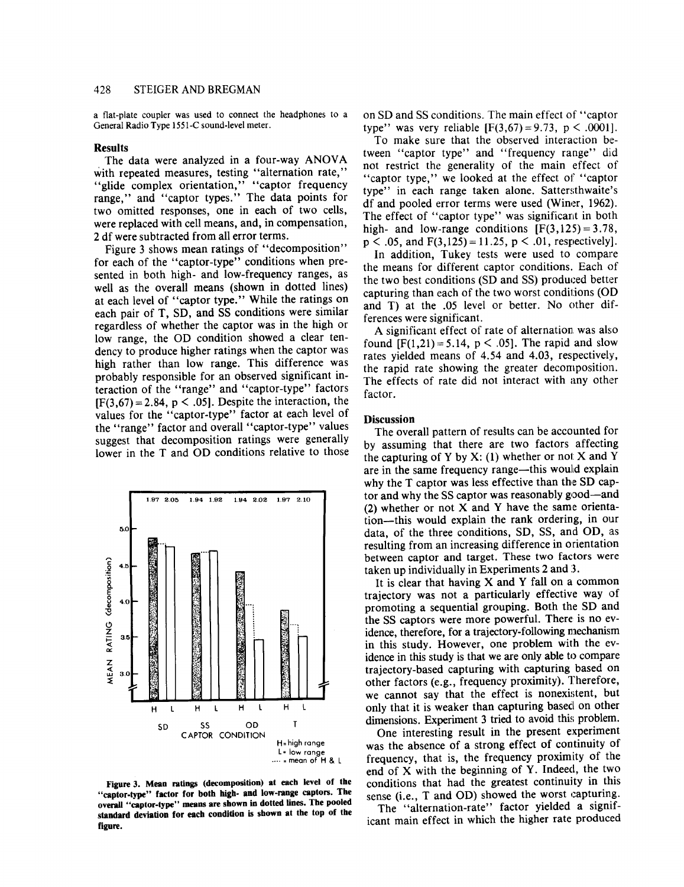a flat-plate coupler was used to connect the headphones to a General Radio Type 1551-C sound-level meter.

## **Results**

The data were analyzed in a four-way ANOVA with repeated measures, testing "alternation rate," "glide complex orientation," "captor frequency" range." and "captor types." The data points for two omitted responses, one in each of two cells, were replaced with cell means, and, in compensation, 2 df were subtracted from all error terms.

Figure 3 shows mean ratings of "decomposition" for each of the "captor-type" conditions when presented in both high- and low-frequency ranges, as well as the overall means (shown in dotted lines) at each level of "captor type." While the ratings on each pair of T, SD, and SS conditions were similar regardless of whether the captor was in the high or low range, the OD condition showed a clear tendency to produce higher ratings when the captor was high rather than low range. This difference was probably responsible for an observed significant interaction of the "range" and "captor-type" factors  $[F(3,67) = 2.84, p \le .05]$ . Despite the interaction, the values for the "captor-type" factor at each level of the "range" factor and overall "captor-type" values suggest that decomposition ratings were generally lower in the T and OD conditions relative to those



Figure 3. Mean ratings (decomposition) at each level of **the** "captor-type" factor for both **high- and** low-range captors. **The** overall "captor-type" means are shown in dotted lines. The pooled **standard deviation for each** condition is shown at the top **of the figure.**

on SD and SS conditions. The main effect of "captor type" was very reliable  $[F(3,67) = 9.73, p < .0001]$ .

To make sure that the observed interaction between "captor type" and "frequency range" did not restrict the generality of the main effect of "captor type," we looked at the effect of "captor" type" in each range taken alone. Sattersthwaite's df and pooled error terms were used (Winer, 1962). The effect of "captor type" was significant in both high- and low-range conditions  $[F(3,125)=3.78,$  $p < .05$ , and  $F(3,125) = 11.25$ ,  $p < .01$ , respectively].

In addition, Tukey tests were used to compare the means for different captor conditions. Each of the two best conditions (SD and SS) produced better capturing than each of the two worst conditions (OD and T) at the .05 level or better. No other differences were significant.

A significant effect of rate of alternation was also found  $[F(1,21)=5.14, p \le .05]$ . The rapid and slow rates yielded means of 4.54 and 4.03, respectively, the rapid rate showing the greater decomposition. The effects of rate did not interact with any other factor.

#### **Discussion**

The overall pattern of results can be accounted for by assuming that there are two factors affecting the capturing of Y by X: (1) whether or not X and Y are in the same frequency range--this would explain why the T captor was less effective than the SD captor and why the SS captor was reasonably good--and (2) whether or not  $X$  and  $Y$  have the same orientation~this would explain the rank ordering, in our data, of the three conditions, SD, SS, and OD, as resulting from an increasing difference in orientation between captor and target. These two factors were taken up individually in Experiments 2 and 3.

It is clear that having X and Y fall on a common trajectory was not a particularly effective way of promoting a sequential grouping. Both the SD and the SS captors were more powerful. There is no evidence, therefore, for a trajectory-following mechanism in this study. However, one problem with the evidence in this study is that we are only able to compare trajectory-based capturing with capturing based on other factors (e.g., frequency proximity). Therefore, we cannot say that the effect is nonexistent, but only that it is weaker than capturing based on other dimensions. Experiment 3 tried to avoid this problem.

One interesting result in the present experiment was the absence of a strong effect of continuity of frequency, that is, the frequency proximity of the end of X with the beginning of Y. Indeed, the two conditions that had the greatest continuity in this sense (i.e., T and OD) showed the worst capturing.

The "alternation-rate" factor yielded a significant main effect in which the higher rate produced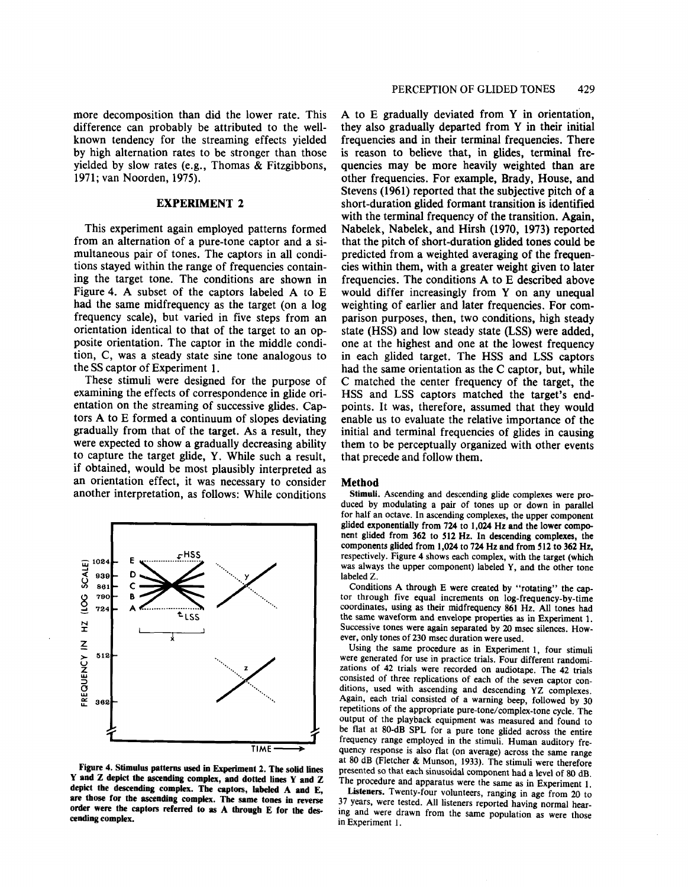**more decomposition than did the lower rate. This difference can probably be attributed to the wellknown tendency for the streaming effects yielded** by **high alternation rates to be stronger than those yielded by slow rates (e.g., Thomas & Fitzgibbons,** 1971; **van Noorden,** 1975).

# **EXPERIMENT 2**

**This experiment again employed patterns formed from an alternation of a pure-tone captor and a simultaneous pair of tones. The captors in all conditions stayed within the range of frequencies containing the target tone. The conditions are shown in Figure 4. A subset of the captors labeled A to E had the same midfrequency as the target (on a log frequency scale), but varied in five steps from an orientation identical to that of the target to an opposite orientation. The captor in the middle condition, C, was a steady state sine tone analogous to the SS captor of Experiment 1.**

**These stimuli were designed for the purpose of examining the effects of correspondence in glide orientation on the streaming of successive glides. Captors A to E formed a continuum of slopes deviating gradually from that of the target. As a result, they were expected to show a gradually decreasing ability to capture the target glide, Y. While such a result, if obtained, would be most plausibly interpreted as an orientation effect, it was necessary to consider another interpretation, as follows: While conditions**



**Figure 4. Stimulus patterns used in Experiment 2. The sofid lines Y and Z depict the ascending complex, and dotted lines Y and Z depict the descending complex. The captors, labeled A and E, are those for the ascending complex. The same tones in reverse order were the captors referred to as A through E for the des. cending complex.**

**A to E gradually deviated from Y in orientation, they also gradually departed from Y in their initial frequencies and in their terminal frequencies. There is reason to believe that, in glides, terminal frequencies may be more heavily weighted than are other frequencies. For example, Brady, House, and Stevens (1961) reported that the subjective pitch of a short-duration glided formant transition is identified with the terminal frequency of the transition. Again, Nabelek, Nabelek, and Hirsh (1970, 1973) reported that the pitch of short-duration glided tones could be predicted from a weighted averaging of the frequencies within them, with a greater weight given to later frequencies. The conditions A to E described above would differ increasingly from Y on any unequal weighting of earlier and later frequencies. For comparison purposes, then, two conditions, high steady state (HSS) and low steady state (LSS) were added, one at the highest and one at the lowest frequency in each glided target. The HSS and LSS captors had the same orientation as the C captor, but, while C matched the center frequency of the target, the HSS and LSS captors matched the target's endpoints. It was, therefore, assumed that they would enable us to evaluate the relative importance of the initial and terminal frequencies of glides in causing them to be perceptually organized with other events that precede and follow them.**

# **Method**

**Stimuli. Ascending and descending glide complexes were** produced **by modulating** a pair **of tones up or down in parallel for half an octave. In ascending complexes, the upper component glided exponentially from 724 to** 1,024 Hz **and the lower** component **glided from 362 to** 512 Hz. In **descending complexes, the components glided from 1,024 to** 724 Hz **and from 512 to** 362 Hz, **respectively. Figure 4 shows each complex, with the target (which was always the upper component) labeled Y, and the other tone labeled** Z.

**Conditions A through E were created by "rotating" the** captor **through five equal increments on log-frequency-by-time coordinates, using as their midfrequency** 861 Hz. All **tones had the same waveform and envelope properties as in Experiment** 1. **Successive tones were again separated** by 20 **msec silences.** However, **only tones of 230 msec duration were used.**

**Using the same procedure as in Experiment 1, four stimuli were generated for use in practice trials. Four different randomizations of 42 trials were recorded on audiotape. The 42 trials consisted of three replications of each of the seven captor conditions, used with ascending and descending YZ complexes. Again, each trial consisted of a warning beep, followed** by 30 **repetitions of the appropriate pure-tone/complex-tone cycle. The output of the playback equipment was measured and found to** be **flat at** 80-dB SPL for a **pure tone glided across the entire frequency range employed in the stimuli. Human auditory frequency response is also flat (on average) across the same range at** 80 dB (Fletcher & Munson, 1933). **The stimuli were therefore presented so that each sinusoidal component had a level of** 80 dB. **The procedure and apparatus were the same as in Experiment** 1.

**Listeners. Twenty-four volunteers, ranging in age from 20 to** 37 **years, were tested. All listeners reported having normal hearing and were drawn from the same population as were those in Experiment** 1.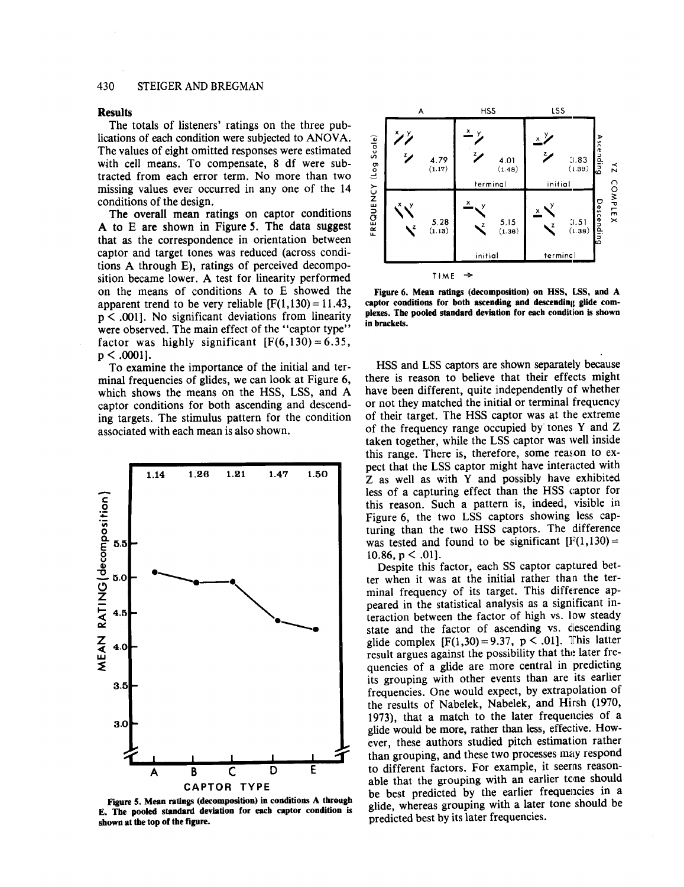# **Results**

The totals of listeners' ratings on the three publications of each condition were subjected to ANOVA. The values of eight omitted responses were estimated with cell means. To compensate, 8 df were subtracted from each error term. No more than two missing values ever occurred in any one of the 14 conditions of the design.

The overall mean ratings on captor conditions A to E are shown in Figure 5. The data suggest that as the correspondence in orientation between captor and target tones was reduced (across conditions A through E), ratings of perceived decomposition became lower. A test for linearity performed on the means of conditions A to E showed the apparent trend to be very reliable  $[F(1,130)=11.43]$ ,  $p < .001$ ]. No significant deviations from linearity were observed. The main effect of the "captor type" factor was highly significant  $[F(6,130) = 6.35]$ ,  $p < .0001$ .

To examine the importance of the initial and terminal frequencies of glides, we can look at Figure 6, which shows the means on the HSS, LSS, and A captor conditions for both ascending and descending targets. The stimulus pattern for the condition associated with each mean is also shown.



Figure \$. Mean ratings (decomposition) in conditions A **through** E. **The pooled** standard deviation for each **captor condition** is **shown at the top of** the figure.



Figure 6. Mean ratings **(decomposition) on HSS, LSS, and** A **captor conditions for both ascending and descending glide complexes. The pooled standard deviation for each condition is shown in brackets.**

HSS and LSS captors are shown separately because there is reason to believe that their effects might have been different, quite independently of whether or not they matched the initial or terminal frequency of their target. The HSS captor was at the extreme of the frequency range occupied by tones Y and Z taken together, while the LSS captor was well inside this range. There is, therefore, some reason to expect that the LSS captor might have interacted with Z as well as with Y and possibly have exhibited less of a capturing effect than the HSS captor for this reason. Such a pattern is, indeed, visible in Figure 6, the two LSS captors showing less capturing than the two HSS captors. The difference was tested and found to be significant  $[F(1,130) =$  $10.86$ ,  $p < .01$ ].

Despite this factor, each SS captor captured better when it was at the initial rather than the terminal frequency of its target. This difference appeared in the statistical analysis as a significant interaction between the factor of high vs. low steady state and the factor of ascending vs. descending glide complex  $[F(1,30) = 9.37, p \lt 0.01]$ . This latter result argues against the possibility that the later frequencies of a glide are more central in predicting its grouping with other events than are its earlier frequencies. One would expect, by extrapolation of the results of Nabelek, Nabelek, and Hirsh (1970, 1973), that a match to the later frequencies of a glide would be more, rather than less, effective. However, these authors studied pitch estimation rather than grouping, and these two processes may respond to different factors. For example, it seems reasonable that the grouping with an earlier tone should be best predicted by the earlier frequencies in a glide, whereas grouping with a later tone should be predicted best by its later frequencies.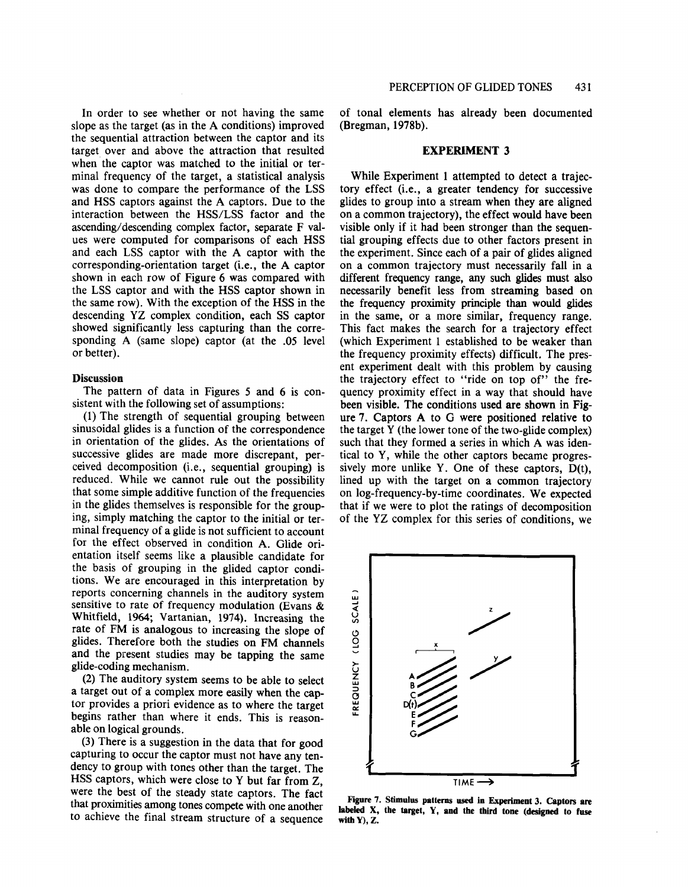In order to see whether or not having the same slope as the target (as in the A conditions) improved the sequential attraction between the captor and its target, over and above the attraction that resulted when the captor was matched to the initial or terminal frequency of the target, a statistical analysis was done to compare the performance of the LSS and HSS captors against the A captors. Due to the interaction between the HSS/LSS factor and the ascending/descending complex factor, separate F values were computed for comparisons of each HSS and each LSS captor with the A captor with the corresponding-orientation target (i.e., the A captor shown in each row of Figure 6 was compared with the LSS captor and with the HSS captor shown in the same row). With the exception of the HSS in the descending YZ complex condition, each SS captor showed significantly less capturing than the corresponding A (same slope) captor (at the .05 level or better).

#### **Discussion**

The pattern of data in Figures 5 and 6 is consistent with the following set of assumptions:

(1) The strength of sequential grouping between sinusoidal glides is a function of the correspondence in orientation of the glides. As the orientations of successive glides are made more discrepant, perceived decomposition (i.e., sequential grouping) is reduced. While we cannot rule out the possibility that some simple additive function of the frequencies in the glides themselves is responsible for the grouping, simply matching the captor to the initial or terminal frequency of a glide is not sufficient to account for the effect observed in condition A. Glide orientation itself seems like a plausible candidate for the basis of grouping in the glided captor conditions. We are encouraged in this interpretation by reports concerning channels in the auditory system sensitive to rate of frequency modulation (Evans & Whitfield, 1964; Vartanian, 1974). Increasing the rate of FM is analogous to increasing the slope of glides. Therefore both the studies on FM channels and the present studies may be tapping the same glide-coding mechanism.

(2) The auditory system seems to be able to select a target out of a complex more easily when the captor provides a priori evidence as to where the target begins rather than where it ends. This is reasonable on logical grounds.

(3) There is a suggestion in the data that for good capturing to occur the captor must not have any tendency to group with tones other than the target. The HSS captors, which were close to Y but far from Z, were the best of the steady state captors. The fact that proximities among tones compete with one another to achieve the final stream structure of a sequence

of tonal elements has already been documented (Bregman, 1978b).

#### **EXPERIMENT 3**

While Experiment 1 attempted to detect a trajectory effect (i.e., a greater tendency for successive glides to group into a stream when they are aligned on a common trajectory), the effect would have been visible only if it had been stronger than the sequential grouping effects due to other factors present in the experiment. Since each of a pair of glides aligned on a common trajectory must necessarily fall in a different frequency range, any such glides must also necessarily benefit less from streaming based on the frequency proximity principle than would glides in the same, or a more similar, frequency range. This fact makes the search for a trajectory effect (which Experiment I established to be weaker than the frequency proximity effects) difficult. The present experiment dealt with this problem by causing the trajectory effect to "ride on top *of"* the frequency proximity effect in a way that should have been visible. The conditions used are shown in Figure 7. Captors A to G were positioned relative to the target Y (the lower tone of the two-glide complex) such that they formed a series in which A was identical to Y, while the other captors became progressively more unlike Y. One of these captors, D(t), lined up with the target on a common trajectory on log-frequency-by-time Coordinates. We expected that if we were to plot the ratings of decomposition of the YZ complex for this series of conditions, we



Figure 7. Stimulus patterns used **in Experiment** 3. Captors **are** labeled X, **the target, Y, and the third tone (designed** to fuse with Y), Z.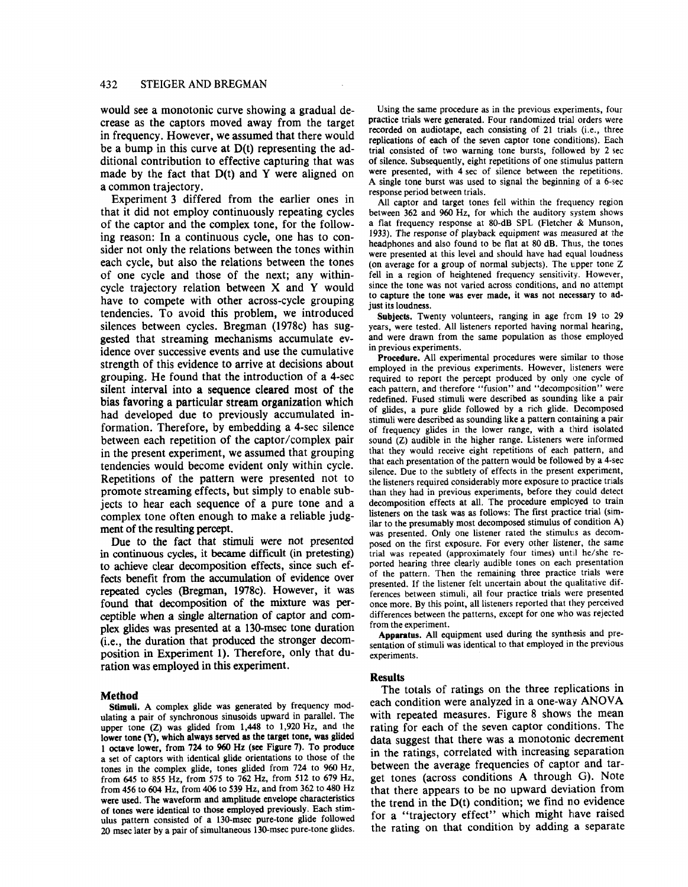# 432 STEIGER AND BREGMAN

**would see a monotonic curve showing a gradual decrease as the captors moved away from the target in frequency. However, we assumed that there would be a bump in this curve at D(t) representing the additional contribution to effective capturing that was made by the fact that D(t) and Y were aligned on a common trajectory.**

**Experiment 3 differed from the earlier ones in that it did not employ continuously repeating cycles of the captor and the complex tone, for the following reason: In a continuous cycle, one has to consider not only the relations between the tones within each cycle, but also the relations between the tones of one cycle and those of the next; any withincycle trajectory relation between X and Y would have to compete with other across-cycle grouping tendencies. To avoid this problem, we introduced silences between cycles. Bregman (1978c) has suggested that streaming mechanisms accumulate evidence over successive events and use the cumulative strength of this evidence to arrive at decisions about grouping. He found that the introduction of a 4-sec silent interval into a sequence cleared most of the bias favoring a particular stream organization which had developed due to previously accumulated information. Therefore, by embedding a 4-sec silence between each repetition of the captor/complex pair in the present experiment, we assumed that grouping tendencies would become evident only within cycle. Repetitions of the pattern were presented not to promote streaming effects, but simply to enable subjects to hear each sequence of a pure tone and a complex tone often enough to make a reliable judgment of the resulting percept.**

**Due to the fact that stimuli were not presented in continuous cycles, it became difficult (in pretesting) to achieve clear decomposition effects, since such effects benefit from the accumulation of evidence over repeated cycles (Bregman, 1978c). However, it was found that decomposition of the mixture was perceptible when a single alternation of captor and complex glides was presented at a 130-msec tone duration (i.e., the duration that produced the stronger decomposition in Experiment 1). Therefore, only that duration was employed in this experiment.**

# **Method**

Stimuli. A complex glide was generated by frequency modulating a pair of synchronous sinusoids upward in parallel. The upper tone (Z) was glided from 1,448 to 1,920 Hz, and the lower **tone (Y),** which always **served as the target tone,** was glided **1 octave lower, from 724 to 960 Hz (see Figure 7). To** produce a set of captors with identical glide orientations to those of the tones in the complex glide, tones glided from 724 to 960 Hz, from 645 to 855 Hz, from 575 to 762 Hz, from 512 to 679 Hz, from 456 to 604 Hz, from 406 to 539 Hz, and from 362 to 480 Hz were used. The waveform and amplitude envelope characteristics of tones were identical to those employed previously. Each stimulus pattern consisted of a 130-msec pure-tone glide followed 20 msec later by a pair of simultaneous 130-msec pure-tone glides.

Using the same procedure as in the previous experiments, four practice trials were generated. Four randomized trial orders were recorded on audiotape, each consisting of 21 trials (i.e., three replications of each of the seven captor tone conditions). Each trial consisted of two warning tone bursts, followed by 2 sec of silence. Subsequently, eight repetitions of one stimulus pattern were presented, with 4 sec of silence between the repetitions. A single tone burst was used to signal the beginning of a 6-sec response period between trials.

All captor and target tones fell within the frequency region between 362 and 960 Hz, for which the auditory system shows a flat frequency response at 80-dB SPL (Fletcher & Munson, 1933). The response of playback equipment was measured at the headphones and also found to be flat at 80 dB. Thus, the tones were presented at this level and should have had equal loudness (on average for a group of normal subjects). The upper tone Z fell in a region of heightened frequency sensitivity. However, since the tone was not varied across conditions, and no attempt to capture the tone was ever made, it was not necessary to adjust its loudness.

Subjects. Twenty volunteers, ranging in age from 19 to 29 years, were tested. All listeners reported having normal hearing, and were drawn from the same population as those employed in previous experiments.

**Procedure.** All experimental procedures were similar to those employed in the previous experiments. However, listeners were required to report the percept produced by only one cycle of each pattern, and therefore "fusion" and "decomposition" were redefined. Fused stimuli were described as sounding like a pair of glides, a pure glide followed by a rich glide. Decomposed stimuli were described as sounding like a pattern containing a pair of frequency glides in the lower range, with a third isolated sound (Z) audible in the higher range. Listeners were informed that they would receive eight repetitions of each pattern, and that each presentation of the pattern would be followed by a 4-sec silence. Due to the subtlety of effects in the present experiment, the listeners required considerably more exposure to practice trials than they had in previous experiments, before they could detect decomposition effects at all. The procedure employed to train listeners on the task was as follows: The first practice trial (similar to the presumably most decomposed stimulus of condition A) was presented. Only one listener rated the stimulus as decomposed on the first exposure. For every other listener, the same trial was repeated (approximately four times) until he/she reported hearing three clearly audible tones on each presentation of the pattern. Then the remaining three practice trials were presented. If the listener felt uncertain about the qualitative differences between stimuli, all four practice trials were presented once more. By this point, all listeners reported that they perceived differences between the patterns, except for one who was rejected from the experiment.

Apparatus. All equipment used during the synthesis and presentation of stimuli was identical to that employed in the previous experiments.

#### **Results**

**The totals of ratings on the three replications in each condition were analyzed in a one-way ANOVA with repeated measures. Figure 8 shows the mean rating for each of the seven captor conditions. The data suggest that there was a monotonic decrement in the ratings, correlated with increasing separation between the average frequencies of captor and target tones (across conditions A through G). Note that there appears to be no upward deviation from** the trend in the D(t) condition; we find no evidence **for a "trajectory effect" which might have raised the rating on that condition by adding a separate**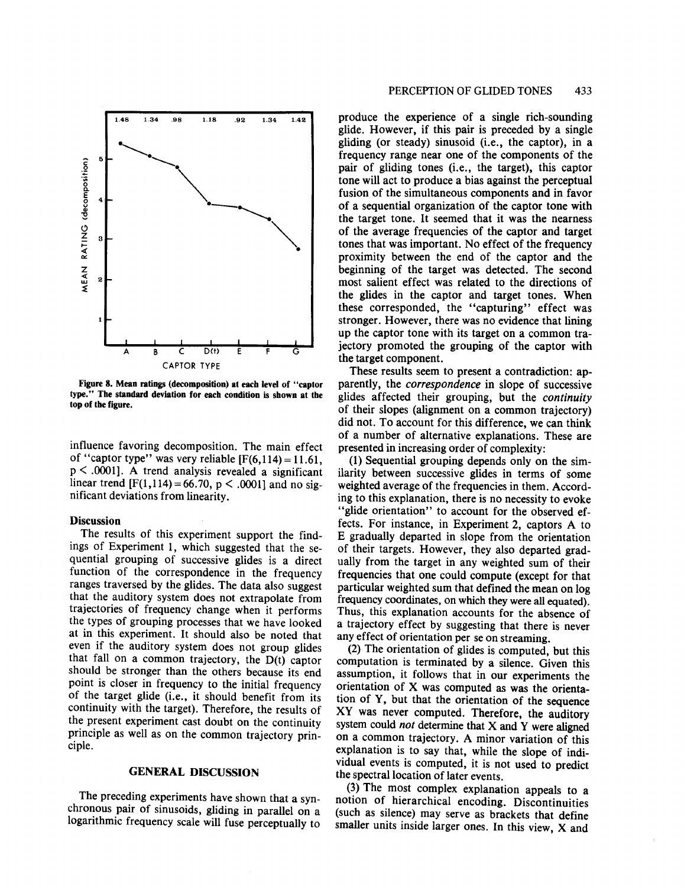

Figure 8. Mean ratings (decomposition) **at each level of "captor** type." **The standard deviation for each** condition is **shown at the top of the figure.**

influence favoring decomposition. The main effect of "captor type" was very reliable  $[F(6,114) = 11.61]$ , p < .0001]. A trend analysis revealed a significant linear trend [F(1,114) = 66.70, p < .0001] and no significant deviations from linearity.

# **Discussion**

The results of this experiment support the findings of Experiment 1, which suggested that the sequential grouping of successive glides is a direct function of the correspondence in the frequency ranges traversed by the glides. The data also suggest that the auditory system does not extrapolate from trajectories of frequency change when it performs the types of grouping processes that we have looked at in this experiment. It should also be noted that even if the auditory system does not group glides that fall on a common trajectory, the D(t) captor should be stronger than the others because its end point is closer in frequency to the initial frequency of the target glide (i.e., it should benefit from its continuity with the target). Therefore, the results of the present experiment cast doubt on the continuity principle as well as on the common trajectory principle.

#### GENERAL DISCUSSION

The preceding experiments have shown that a synchronous pair of sinusoids, gliding in parallel on a logarithmic frequency scale will fuse perceptually to

produce the experience of a single rich-sounding glide. However, if this pair is preceded by a single gliding (or steady) sinusoid (i.e., the captor), in a frequency range near one of the components of the pair of gliding tones (i.e., the target), this captor tone will act to produce a bias against the perceptual fusion of the simultaneous components and in favor of a sequential organization of the captor tone with the target tone. It seemed that it was the nearness of the average frequencies of the captor and target tones that was important. No effect of the frequency proximity between the end of the captor and the beginning of the target was detected. The second most salient effect was related to the directions of the glides in the captor and target tones. When these corresponded, the "capturing" effect was stronger. However, there was no evidence that lining up the captor tone with its target on a common trajectory promoted the grouping of the captor with the target component.

These results seem to present a contradiction: apparently, the *correspondence* in slope of successive glides affected their grouping, but the *continuity* of their slopes (alignment on a common trajectory) did not. To account for this difference, we can think of a number of alternative explanations. These are presented in increasing order of complexity:

(1) Sequential grouping depends only on the similarity between successive glides in terms of some weighted average of the frequencies in them. According to this explanation, there is no necessity to evoke "glide orientation" to account for the observed effects. For instance, in Experiment 2, captors A to E gradually departed in slope from the orientation of their targets. However, they also departed gradually from the target in any weighted sum of their frequencies that one could compute (except for that particular weighted sum that defined the mean on log frequency coordinates, on which they were all equated). Thus, this explanation accounts for the absence of a trajectory effect by suggesting that there is never any effect of orientation per se on streaming.

(2) The orientation of glides is computed, but this computation is terminated by a silence. Given this assumption, it follows that in our experiments the orientation of X was computed as was the orientation of Y, but that the orientation of the sequence XY was never computed. Therefore, the auditory system could *not* determine that X and Y were aligned on a common trajectory. A minor variation of this explanation is to say that, while the slope of individual events is computed, it is not used to predict the spectral location of later events.

(3) The most complex explanation appeals to a notion of hierarchical encoding. Discontinuities (such as silence) may serve as brackets that define smaller units inside larger ones. In this view, X and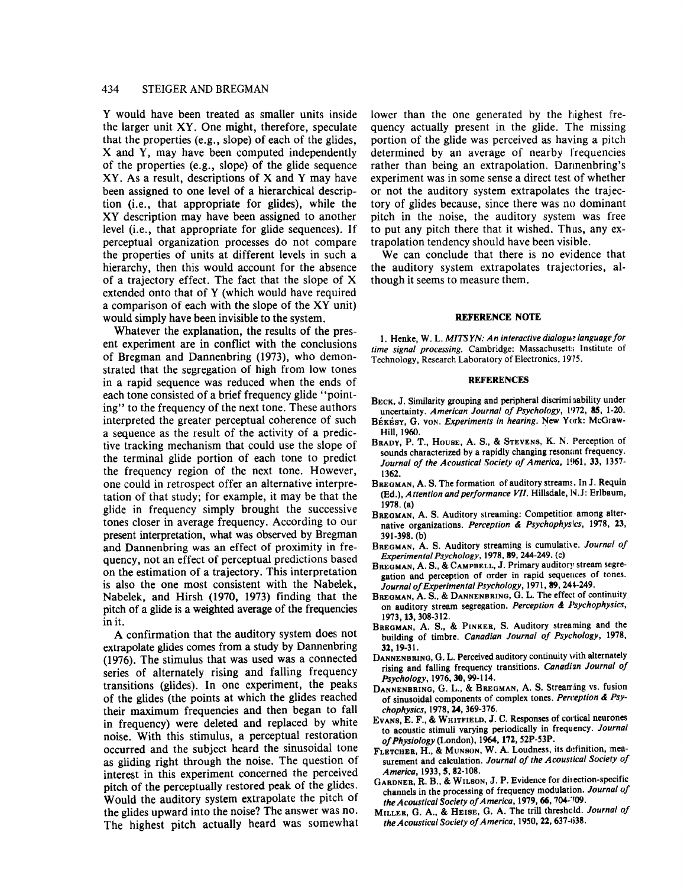# 434 STEIGER AND BREGMAN

Y would have been treated as smaller units inside the larger unit XY. One might, therefore, speculate that the properties (e.g., slope) of each of the glides, X and Y, may have been computed independently of the properties (e.g., slope) of the glide sequence XY. As a result, descriptions of X and Y may have been assigned to one level of a hierarchical description (i.e., that appropriate for glides), while the XY description may have been assigned to another level (i.e., that appropriate for glide sequences). If perceptual organization processes do not compare the properties of units at different levels in such a hierarchy, then this would account for the absence of a trajectory effect. The fact that the slope of X extended onto that of Y (which would have required a comparison of each with the slope of the XY unit) would simply have been invisible to the system.

Whatever the explanation, the results of the present experiment are in conflict with the conclusions of Bregman and Dannenbring (1973), who demonstrated that the segregation of high from low tones in a rapid sequence was reduced when the ends of each tone consisted of a brief frequency glide "pointing" to the frequency of the next tone. These authors interpreted the greater perceptual coherence of such a sequence as the result of the activity of a predictive tracking mechanism that could use the slope of the terminal glide portion of each tone to predict the frequency region of the next tone. However, one could in retrospect offer an alternative interpretation of that study; for example, it may be that the glide in frequency simply brought the successive tones closer in average frequency. According to our present interpretation, what was observed by Bregman and Dannenbring was an effect of proximity in frequency, not an effect of perceptual predictions based on the estimation of a trajectory. This interpretation is also the one most consistent with the Nabelek, Nabelek, and Hirsh (1970, 1973) finding that the pitch of a glide is a weighted average of the frequencies in it.

A confirmation that the auditory system does not extrapolate glides comes from a study by Dannenbring (1976). The stimulus that was used was a connected series of alternately rising and falling frequency transitions (glides). In one experiment, the peaks of the glides (the points at which the glides reached their maximum frequencies and then began to fall in frequency) were deleted and replaced by white noise. With this stimulus, a perceptual restoration occurred and the subject heard the sinusoidal tone as gliding right through the noise. The question of interest in this experiment concerned the perceived pitch of the perceptually restored peak of the glides. Would the auditory system extrapolate the pitch of the glides upward into the noise? The answer was no. The highest pitch actually heard was somewhat lower than the one generated by the highest frequency actually present in the glide. The missing portion of the glide was perceived as having a pitch determined by an average of nearby frequencies rather than being an extrapolation. Dannenbring's experiment was in some sense a direct test of whether or not the auditory system extrapolates the trajectory of glides because, since there was no dominant pitch in the noise, the auditory system was free to put any pitch there that it wished. Thus, any extrapolation tendency should have been visible.

We can conclude that there is no evidence that the auditory system extrapolates trajectories, although it seems to measure them.

#### REFERENCE NOTE

1. Henke, W. L. *MITSYN: An interactive dialogue language for time signal processing.* Cambridge: Massachusetts; Institute of Technology, Research Laboratory of Electronics, 1975.

#### REFERENCES

- BECK, J. Similarity grouping and peripheral discriminability under uncertainty. *American Journal of Psychology*, 1972, 85, 1-20. BÉKÉSY, G. VON. *Experiments in hearing*. New York: McGraw-
- Hill, 1960. BRADY, P. T., HOUSE, A. S., & STEVENS, K. N. Perception of sounds characterized by a rapidly changing resonant frequency. Journal of the Acoustical Society of America, 1961, 33, 1357-1362.
- BREGMAN, A. S. The formation of auditory streams. In J. Requin (Ed.), *Attention and performance VII*. Hillsdale, N.J: Erlbaum, 1978. (a)
- BREGMAN, A. S. Auditory streaming: Competition among alternative organizations. *Perception & Psychophysics*, 1978, 23, 391-398. (b)
- BREGMAN, A. S. Auditory streaming is cumulative. *Journal of Experimental Psychology, 1978, 89, 244-249. (c)*
- BREGMAN, A. S., & CAMPBELL, J. Primary auditory stream segregation and perception of order in rapid sequences of tones. Journal of Experimental Psychology, 1971, 89, 244-249.
- BREGMAN, A. S., & DANNENBRING, G. L. The effect of continuity on auditory stream segregation. *Perception & Psychophysics,* 1973, 13, 308-312.
- BREGMAN, A. S., & PINKER, S. Auditory streaming and the building of timbre. *Canadian Journal of Psychology,* 1978,
- DANNENBRING, G. L. Perceived auditory continuity with alternately rising and falling frequency transitions. *Canadian Journal of Psychology, 1976, 30, 99-114.*
- DANNENBRING, G. L., & BREGMAN, A. S. Streaming vs. fusion of sinusoidal components of complex tones. *Perception & Psychophysics,* 1978, 24, 369-376.
- EVANS, E. F., & WHITFIELD, J. C. Responses of cortical neurones to acoustic stimuli varying periodically in frequency. *Journal of Physiology* (London), 1964, 172, 52P-53P.
- FLETCHER, H., & MUNSON, W. A. Loudness, its definition, measurement and calculation. *Journal of the Acoustical Society of America,* 1933, 5, 82-108.
- GARDNER, R. B., & WILSON, J. P. Evidence for direction-specific channels in the processing of frequency modulation. *Journal of the Acoustical Society of America,* 1979, 66, 704-709.
- MILLER, G. A., & HEISE, G. A. The trill threshold. *Journal of the Acoustical Society of A merica,* 1950, 22, 637-638.